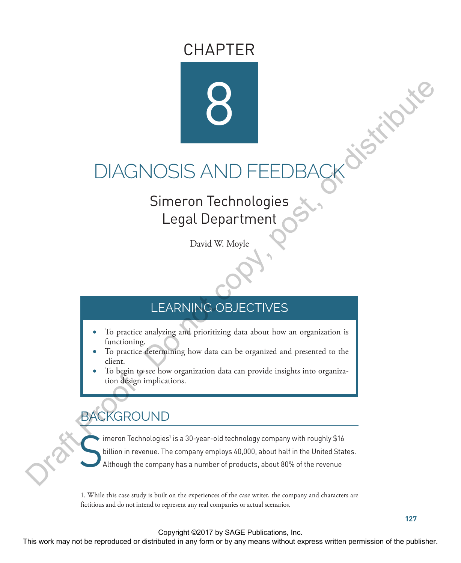# CHAPTER



# DIAGNOSIS AND FEEDBACK OF STRAIGHT

# Simeron Technologies Legal Department

David W. Moyle

# LEARNING OBJECTIVES

- To practice analyzing and prioritizing data about how an organization is functioning.
- To practice determining how data can be organized and presented to the client.
- To begin to see how organization data can provide insights into organization design implications.

# BACKGROUND

S imeron Technologies $^{\scriptscriptstyle 1}$  is a 30-year-old technology company with roughly  $\$16$ billion in revenue. The company employs 40,000, about half in the United States. Although the company has a number of products, about 80% of the revenue DIAGNOSIS AND FEEDBACK<br>
Simeron Technologies<br>
Legal Department<br>
David W. Moyle<br>
LEARNING OBJECTIVES<br>
LEARNING OBJECTIVES<br>
LEARNING OBJECTIVES<br>
LEARNING OBJECTIVES<br>
To practice eferrying thus data can be organized and prese

Copyright ©2017 by SAGE Publications, Inc.

<sup>1.</sup> While this case study is built on the experiences of the case writer, the company and characters are fictitious and do not intend to represent any real companies or actual scenarios.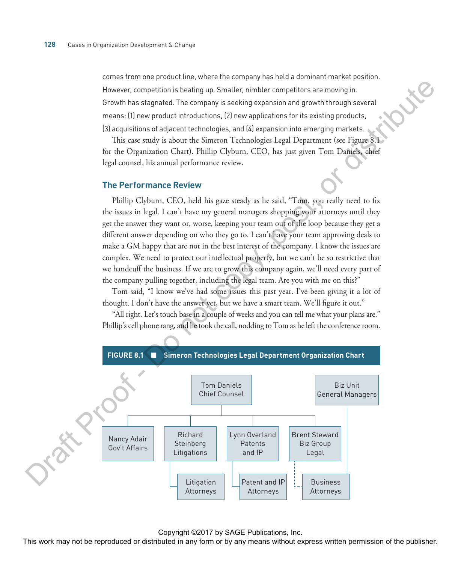comes from one product line, where the company has held a dominant market position. However, competition is heating up. Smaller, nimbler competitors are moving in. Growth has stagnated. The company is seeking expansion and growth through several means: (1) new product introductions, (2) new applications for its existing products, (3) acquisitions of adjacent technologies, and (4) expansion into emerging markets.

This case study is about the Simeron Technologies Legal Department (see Figure 8.1 for the Organization Chart). Phillip Clyburn, CEO, has just given Tom Daniels, chief legal counsel, his annual performance review.

#### **The Performance Review**

Phillip Clyburn, CEO, held his gaze steady as he said, "Tom, you really need to fix the issues in legal. I can't have my general managers shopping your attorneys until they get the answer they want or, worse, keeping your team out of the loop because they get a different answer depending on who they go to. I can't have your team approving deals to make a GM happy that are not in the best interest of the company. I know the issues are complex. We need to protect our intellectual property, but we can't be so restrictive that we handcuff the business. If we are to grow this company again, we'll need every part of the company pulling together, including the legal team. Are you with me on this?"

Tom said, "I know we've had some issues this past year. I've been giving it a lot of thought. I don't have the answer yet, but we have a smart team. We'll figure it out."

"All right. Let's touch base in a couple of weeks and you can tell me what your plans are." Phillip's cell phone rang, and he took the call, nodding to Tom as he left the conference room.



Copyright ©2017 by SAGE Publications, Inc.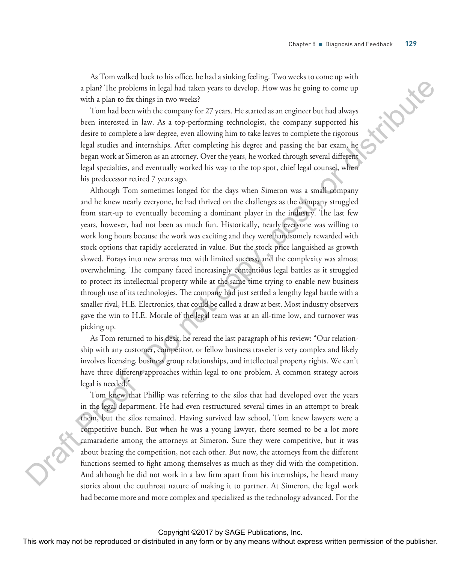As Tom walked back to his office, he had a sinking feeling. Two weeks to come up with a plan? The problems in legal had taken years to develop. How was he going to come up with a plan to fix things in two weeks?

Tom had been with the company for 27 years. He started as an engineer but had always been interested in law. As a top-performing technologist, the company supported his desire to complete a law degree, even allowing him to take leaves to complete the rigorous legal studies and internships. After completing his degree and passing the bar exam, he began work at Simeron as an attorney. Over the years, he worked through several different legal specialties, and eventually worked his way to the top spot, chief legal counsel, when his predecessor retired 7 years ago.

Although Tom sometimes longed for the days when Simeron was a small company and he knew nearly everyone, he had thrived on the challenges as the company struggled from start-up to eventually becoming a dominant player in the industry. The last few years, however, had not been as much fun. Historically, nearly everyone was willing to work long hours because the work was exciting and they were handsomely rewarded with stock options that rapidly accelerated in value. But the stock price languished as growth slowed. Forays into new arenas met with limited success, and the complexity was almost overwhelming. The company faced increasingly contentious legal battles as it struggled to protect its intellectual property while at the same time trying to enable new business through use of its technologies. The company had just settled a lengthy legal battle with a smaller rival, H.E. Electronics, that could be called a draw at best. Most industry observers gave the win to H.E. Morale of the legal team was at an all-time low, and turnover was picking up. a plan? The problems in legal had ukan years to develop. How was he going to come up<br>with a glue to fit duitige in two weaker proference preference in the society come to complete the complete state in the society of the

As Tom returned to his desk, he reread the last paragraph of his review: "Our relationship with any customer, competitor, or fellow business traveler is very complex and likely involves licensing, business group relationships, and intellectual property rights. We can't have three different approaches within legal to one problem. A common strategy across legal is needed."

Tom knew that Phillip was referring to the silos that had developed over the years in the legal department. He had even restructured several times in an attempt to break them, but the silos remained. Having survived law school, Tom knew lawyers were a competitive bunch. But when he was a young lawyer, there seemed to be a lot more camaraderie among the attorneys at Simeron. Sure they were competitive, but it was about beating the competition, not each other. But now, the attorneys from the different functions seemed to fight among themselves as much as they did with the competition. And although he did not work in a law firm apart from his internships, he heard many stories about the cutthroat nature of making it to partner. At Simeron, the legal work had become more and more complex and specialized as the technology advanced. For the

Copyright ©2017 by SAGE Publications, Inc.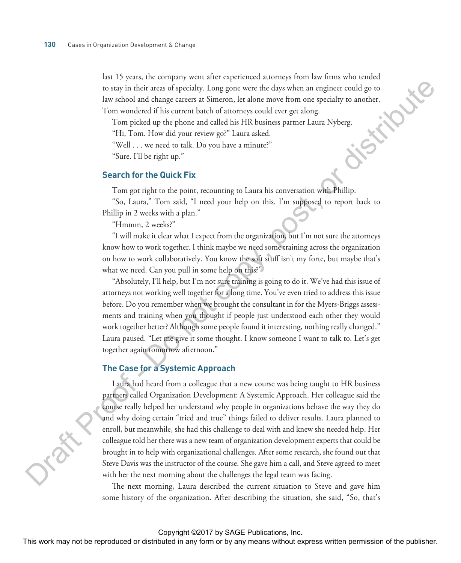last 15 years, the company went after experienced attorneys from law firms who tended<br>to stay in their areas of specialty. Long gone were the days when an engineer could go to<br>law school and change careers at Simeron, let to stay in their areas of specialty. Long gone were the days when an engineer could go to law school and change careers at Simeron, let alone move from one specialty to another. Tom wondered if his current batch of attorneys could ever get along.

Tom picked up the phone and called his HR business partner Laura Nyberg.

"Hi, Tom. How did your review go?" Laura asked.

"Well . . . we need to talk. Do you have a minute?"

"Sure. I'll be right up."

#### **Search for the Quick Fix**

Tom got right to the point, recounting to Laura his conversation with Phillip.

"So, Laura," Tom said, "I need your help on this. I'm supposed to report back to Phillip in 2 weeks with a plan."

"Hmmm, 2 weeks?"

"I will make it clear what I expect from the organization, but I'm not sure the attorneys know how to work together. I think maybe we need some training across the organization on how to work collaboratively. You know the soft stuff isn't my forte, but maybe that's what we need. Can you pull in some help on this?"

"Absolutely, I'll help, but I'm not sure training is going to do it. We've had this issue of attorneys not working well together for a long time. You've even tried to address this issue before. Do you remember when we brought the consultant in for the Myers-Briggs assessments and training when you thought if people just understood each other they would work together better? Although some people found it interesting, nothing really changed." Laura paused. "Let me give it some thought. I know someone I want to talk to. Let's get together again tomorrow afternoon."

#### **The Case for a Systemic Approach**

Laura had heard from a colleague that a new course was being taught to HR business partners called Organization Development: A Systemic Approach. Her colleague said the course really helped her understand why people in organizations behave the way they do and why doing certain "tried and true" things failed to deliver results. Laura planned to enroll, but meanwhile, she had this challenge to deal with and knew she needed help. Her colleague told her there was a new team of organization development experts that could be brought in to help with organizational challenges. After some research, she found out that Steve Davis was the instructor of the course. She gave him a call, and Steve agreed to meet with her the next morning about the challenges the legal team was facing. to stay in their accord spectrally. Long gence were the days when an engineer could go to<br>
he scholonic delange careers as Since to he scholonic stress control according to the scholonic delay points are delay in FR towns

The next morning, Laura described the current situation to Steve and gave him some history of the organization. After describing the situation, she said, "So, that's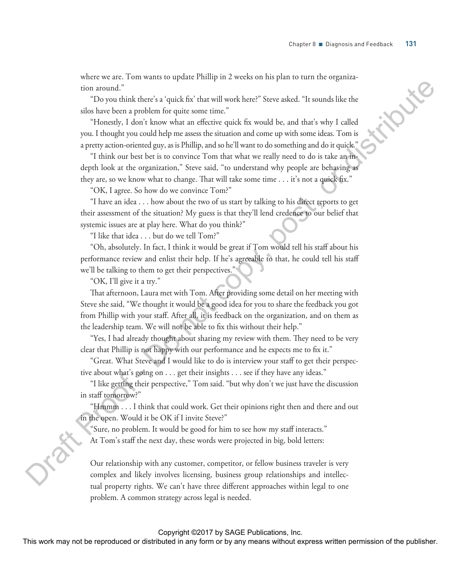where we are. Tom wants to update Phillip in 2 weeks on his plan to turn the organization around."

"Do you think there's a 'quick fix' that will work here?" Steve asked. "It sounds like the silos have been a problem for quite some time."

"Honestly, I don't know what an effective quick fix would be, and that's why I called you. I thought you could help me assess the situation and come up with some ideas. Tom is a pretty action-oriented guy, as is Phillip, and so he'll want to do something and do it quick."

"I think our best bet is to convince Tom that what we really need to do is take an indepth look at the organization," Steve said, "to understand why people are behaving as they are, so we know what to change. That will take some time . . . it's not a quick fix."

"OK, I agree. So how do we convince Tom?"

"I have an idea . . . how about the two of us start by talking to his direct reports to get their assessment of the situation? My guess is that they'll lend credence to our belief that systemic issues are at play here. What do you think?"

"I like that idea . . . but do we tell Tom?"

"Oh, absolutely. In fact, I think it would be great if Tom would tell his staff about his performance review and enlist their help. If he's agreeable to that, he could tell his staff we'll be talking to them to get their perspectives."

"OK, I'll give it a try."

That afternoon, Laura met with Tom. After providing some detail on her meeting with Steve she said, "We thought it would be a good idea for you to share the feedback you got from Phillip with your staff. After all, it is feedback on the organization, and on them as the leadership team. We will not be able to fix this without their help." tion around.<sup>2</sup><br>
The you district that there is quick fact that well work here? Severalsed. It to<br>unds like the distribute pairs are time."<br>
However an effective price some time," the contribute the same of the second bet

"Yes, I had already thought about sharing my review with them. They need to be very clear that Phillip is not happy with our performance and he expects me to fix it."

"Great. What Steve and I would like to do is interview your staff to get their perspective about what's going on . . . get their insights . . . see if they have any ideas."

"I like getting their perspective," Tom said. "but why don't we just have the discussion in staff tomorrow?"

"Hmmm . . . I think that could work. Get their opinions right then and there and out in the open. Would it be OK if I invite Steve?"

"Sure, no problem. It would be good for him to see how my staff interacts."

At Tom's staff the next day, these words were projected in big, bold letters:

Our relationship with any customer, competitor, or fellow business traveler is very complex and likely involves licensing, business group relationships and intellectual property rights. We can't have three different approaches within legal to one problem. A common strategy across legal is needed.

#### Copyright ©2017 by SAGE Publications, Inc.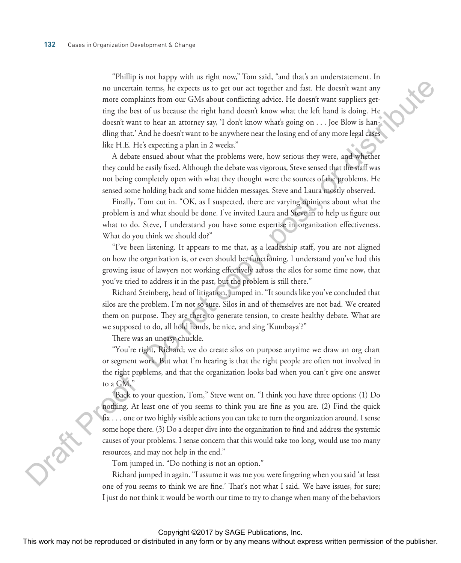"Phillip is not happy with us right now," Tom said, "and that's an understatement. In no uncertain terms, he expects us to get our act together and fast. He doesn't want any more complaints from our GMs about conflicting advice. He doesn't want suppliers getting the best of us because the right hand doesn't know what the left hand is doing. He doesn't want to hear an attorney say, 'I don't know what's going on . . . Joe Blow is handling that.' And he doesn't want to be anywhere near the losing end of any more legal cases like H.E. He's expecting a plan in 2 weeks." no uncertain terms, he expects ut as get out at togethes and far. He doesn't want any<br>note complaint from our CMs about collations about 2. He doesn't want angular general control and the doesn't control and the doesn't h

A debate ensued about what the problems were, how serious they were, and whether they could be easily fixed. Although the debate was vigorous, Steve sensed that the staff was not being completely open with what they thought were the sources of the problems. He sensed some holding back and some hidden messages. Steve and Laura mostly observed.

Finally, Tom cut in. "OK, as I suspected, there are varying opinions about what the problem is and what should be done. I've invited Laura and Steve in to help us figure out what to do. Steve, I understand you have some expertise in organization effectiveness. What do you think we should do?"

"I've been listening. It appears to me that, as a leadership staff, you are not aligned on how the organization is, or even should be, functioning. I understand you've had this growing issue of lawyers not working effectively across the silos for some time now, that you've tried to address it in the past, but the problem is still there."

Richard Steinberg, head of litigation, jumped in. "It sounds like you've concluded that silos are the problem. I'm not so sure. Silos in and of themselves are not bad. We created them on purpose. They are there to generate tension, to create healthy debate. What are we supposed to do, all hold hands, be nice, and sing 'Kumbaya'?"

There was an uneasy chuckle.

"You're right, Richard; we do create silos on purpose anytime we draw an org chart or segment work. But what I'm hearing is that the right people are often not involved in the right problems, and that the organization looks bad when you can't give one answer to a GM."

"Back to your question, Tom," Steve went on. "I think you have three options: (1) Do nothing. At least one of you seems to think you are fine as you are. (2) Find the quick fix . . . one or two highly visible actions you can take to turn the organization around. I sense some hope there. (3) Do a deeper dive into the organization to find and address the systemic causes of your problems. I sense concern that this would take too long, would use too many resources, and may not help in the end."

Tom jumped in. "Do nothing is not an option."

Richard jumped in again. "I assume it was me you were fingering when you said 'at least one of you seems to think we are fine.' That's not what I said. We have issues, for sure; I just do not think it would be worth our time to try to change when many of the behaviors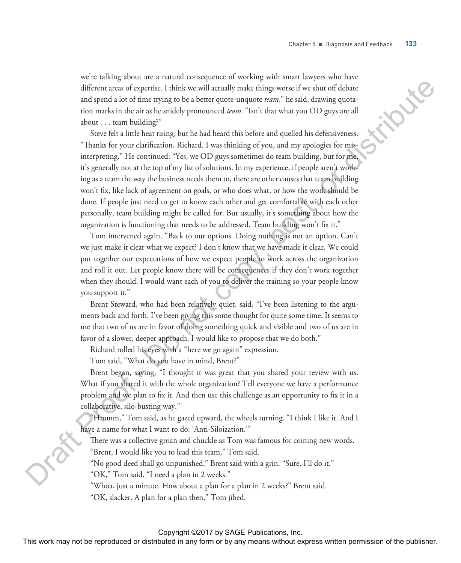we're talking about are a natural consequence of working with smart lawyers who have different areas of expertise. I think we will actually make things worse if we shut off debate and spend a lot of time trying to be a better quote-unquote *team*," he said, drawing quotation marks in the air as he snidely pronounced *team*. "Isn't that what you OD guys are all about . . . team building?"

Steve felt a little heat rising, but he had heard this before and quelled his defensiveness. "Thanks for your clarification, Richard. I was thinking of you, and my apologies for misinterpreting." He continued: "Yes, we OD guys sometimes do team building, but for me, it's generally not at the top of my list of solutions. In my experience, if people aren't working as a team the way the business needs them to, there are other causes that team building won't fix, like lack of agreement on goals, or who does what, or how the work should be done. If people just need to get to know each other and get comfortable with each other personally, team building might be called for. But usually, it's something about how the organization is functioning that needs to be addressed. Team building won't fix it." different access of capacities. I think we will accually make things worse if we show or and spend at order of the control of the control of the control of the control of the control of the control of the control of the c

Tom intervened again. "Back to our options. Doing nothing is not an option. Can't we just make it clear what we expect? I don't know that we have made it clear. We could put together our expectations of how we expect people to work across the organization and roll it out. Let people know there will be consequences if they don't work together when they should. I would want each of you to deliver the training so your people know you support it."

Brent Steward, who had been relatively quiet, said, "I've been listening to the arguments back and forth. I've been giving this some thought for quite some time. It seems to me that two of us are in favor of doing something quick and visible and two of us are in favor of a slower, deeper approach. I would like to propose that we do both."

Richard rolled his eyes with a "here we go again" expression.

Tom said, "What do you have in mind, Brent?"

Brent began, saying, "I thought it was great that you shared your review with us. What if you shared it with the whole organization? Tell everyone we have a performance problem and we plan to fix it. And then use this challenge as an opportunity to fix it in a collaborative, silo-busting way."

"Hmmm," Tom said, as he gazed upward, the wheels turning. "I think I like it. And I have a name for what I want to do: 'Anti-Siloization.'"

There was a collective groan and chuckle as Tom was famous for coining new words. "Brent, I would like you to lead this team," Tom said.

"No good deed shall go unpunished," Brent said with a grin. "Sure, I'll do it."

"OK," Tom said. "I need a plan in 2 weeks."

"Whoa, just a minute. How about a plan for a plan in 2 weeks?" Brent said.

"OK, slacker. A plan for a plan then," Tom jibed.

#### Copyright ©2017 by SAGE Publications, Inc.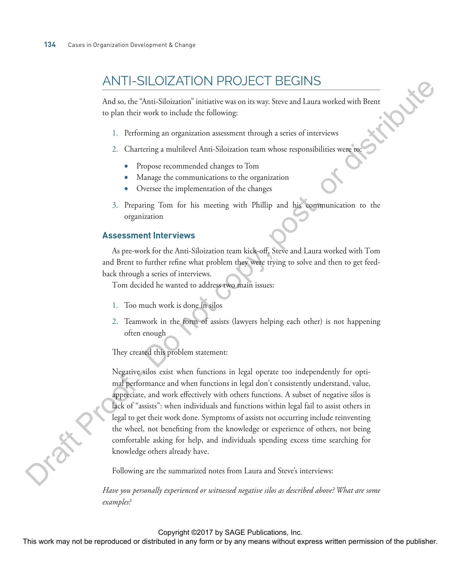## ANTI-SILOIZATION PROJECT BEGINS

And so, the "Anti-Siloization" initiative was on its way. Steve and Laura worked with Brent<br>to plan their work to include the following:<br> $1 - \frac{D_C C}{2}$ to plan their work to include the following:

- 1. Performing an organization assessment through a series of interviews
- 2. Chartering a multilevel Anti-Siloization team whose responsibilities were to:
	- Propose recommended changes to Tom
	- Manage the communications to the organization
	- Oversee the implementation of the changes
- 3. Preparing Tom for his meeting with Phillip and his communication to the organization

#### **Assessment Interviews**

As pre-work for the Anti-Siloization team kick-off, Steve and Laura worked with Tom and Brent to further refine what problem they were trying to solve and then to get feedback through a series of interviews.

Tom decided he wanted to address two main issues:

- 1. Too much work is done in silos
- 2. Teamwork in the form of assists (lawyers helping each other) is not happening often enough

They created this problem statement:

Negative silos exist when functions in legal operate too independently for optimal performance and when functions in legal don't consistently understand, value, appreciate, and work effectively with others functions. A subset of negative silos is lack of "assists": when individuals and functions within legal fail to assist others in legal to get their work done. Symptoms of assists not occurring include reinventing the wheel, not benefiting from the knowledge or experience of others, not being comfortable asking for help, and individuals spending excess time searching for knowledge others already have. AIN IT-SILOTZATION PROJECT BEGINS<br>
And as, then "shinkersine" initiative was on in way, Steve and Lanz worked with Bread<br>
to plan their work to include the following:<br>
1. Performing an organization assessment through a se

Following are the summarized notes from Laura and Steve's interviews:

*Have you personally experienced or witnessed negative silos as described above? What are some examples?*

#### Copyright ©2017 by SAGE Publications, Inc.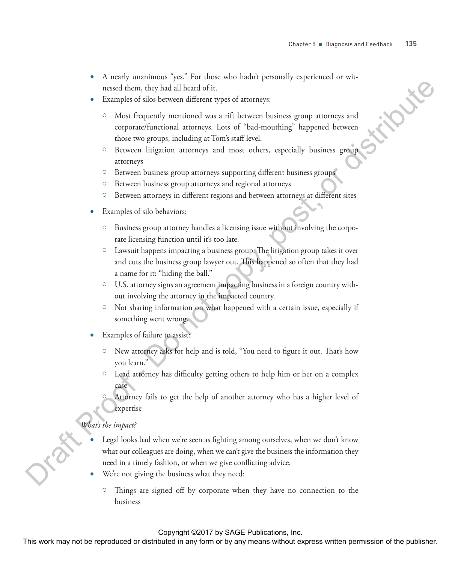- A nearly unanimous "yes." For those who hadn't personally experienced or witnessed them, they had all heard of it.
- Examples of silos between different types of attorneys:
	- Most frequently mentioned was a rift between business group attorneys and corporate/functional attorneys. Lots of "bad-mouthing" happened between those two groups, including at Tom's staff level.
	- <sup>o</sup> Between litigation attorneys and most others, especially business group attorneys
	- <sup>o</sup> Between business group attorneys supporting different business groups
	- <sup>o</sup> Between business group attorneys and regional attorneys
	- <sup>o</sup> Between attorneys in different regions and between attorneys at different sites
- Examples of silo behaviors:
	- $\circ$  Business group attorney handles a licensing issue without involving the corporate licensing function until it's too late.
	- $\circ$  Lawsuit happens impacting a business group. The litigation group takes it over and cuts the business group lawyer out. This happened so often that they had a name for it: "hiding the ball."
	- $\circ$  U.S. attorney signs an agreement impacting business in a foreign country without involving the attorney in the impacted country.
	- { Not sharing information on what happened with a certain issue, especially if something went wrong.
- Examples of failure to assist:
	- New attorney asks for help and is told, "You need to figure it out. That's how you learn."
	- $\circ$  Lead attorney has difficulty getting others to help him or her on a complex case
		- Attorney fails to get the help of another attorney who has a higher level of expertise

#### *What's the impact?*

- Legal looks bad when we're seen as fighting among ourselves, when we don't know what our colleagues are doing, when we can't give the business the information they need in a timely fashion, or when we give conflicting advice. nessed shom, they had all heard of it.<br>
lamples of allot between different operator and such the comparison proportion and the comparison of the stribute of a<br>
copy and the comparison and the coveran between lattices grap
	- We're not giving the business what they need:
		- $\circ$  Things are signed off by corporate when they have no connection to the business

#### Copyright ©2017 by SAGE Publications, Inc.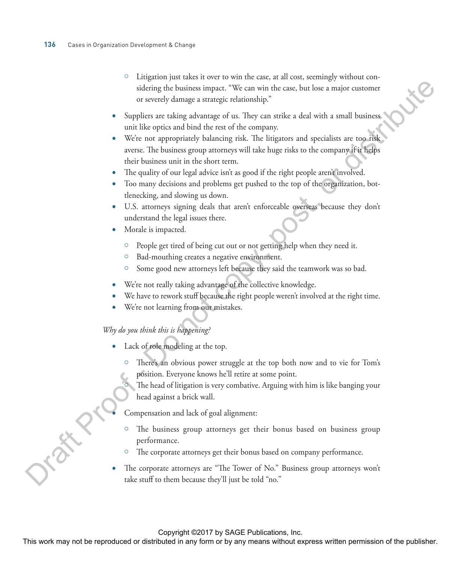- $\circ$  Litigation just takes it over to win the case, at all cost, seemingly without considering the business impact. "We can win the case, but lose a major customer or severely damage a strategic relationship."
- Suppliers are taking advantage of us. They can strike a deal with a small business unit like optics and bind the rest of the company.
- We're not appropriately balancing risk. The litigators and specialists are too risk averse. The business group attorneys will take huge risks to the company if it helps their business unit in the short term. sidening the business impace. "We can win the case, but loss a major customer or severely diamong is a strationalizable."<br>
Suppliers are unking askenangic clus. They can write a lead with a small business (with the proper
	- The quality of our legal advice isn't as good if the right people aren't involved.
	- Too many decisions and problems get pushed to the top of the organization, bottlenecking, and slowing us down.
	- U.S. attorneys signing deals that aren't enforceable overseas because they don't understand the legal issues there.
	- Morale is impacted.
		- <sup>o</sup> People get tired of being cut out or not getting help when they need it.
		- <sup>o</sup> Bad-mouthing creates a negative environment.
		- <sup>o</sup> Some good new attorneys left because they said the teamwork was so bad.
	- We're not really taking advantage of the collective knowledge.
	- We have to rework stuff because the right people weren't involved at the right time.
	- We're not learning from our mistakes.

#### *Why do you think this is happening?*

- Lack of role modeling at the top.
	- <sup>o</sup> There's an obvious power struggle at the top both now and to vie for Tom's position. Everyone knows he'll retire at some point.
		- The head of litigation is very combative. Arguing with him is like banging your head against a brick wall.

• Compensation and lack of goal alignment:

- $\circ$  The business group attorneys get their bonus based on business group performance.
- <sup>o</sup> The corporate attorneys get their bonus based on company performance.
- The corporate attorneys are "The Tower of No." Business group attorneys won't take stuff to them because they'll just be told "no."

Copyright ©2017 by SAGE Publications, Inc.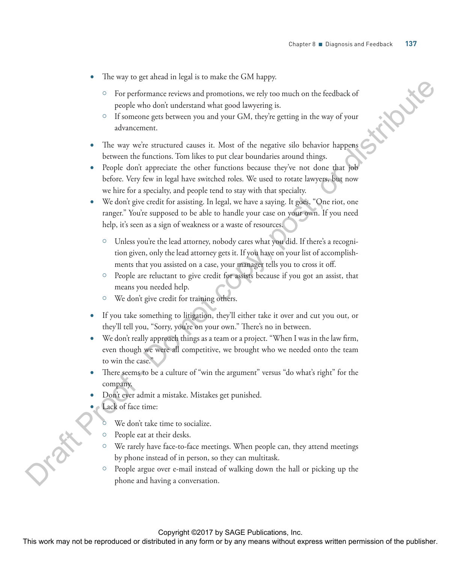- The way to get ahead in legal is to make the GM happy.
	- For performance reviews and promotions, we rely too much on the feedback of people who don't understand what good lawyering is.
	- { If someone gets between you and your GM, they're getting in the way of your advancement.
- The way we're structured causes it. Most of the negative silo behavior happens between the functions. Tom likes to put clear boundaries around things.
- People don't appreciate the other functions because they've not done that job before. Very few in legal have switched roles. We used to rotate lawyers, but now we hire for a specialty, and people tend to stay with that specialty. The performance previews and promotions, we rely too much on the feedback of<br>
propise who during an large using yiel with the proof of the magnitude of<br>
The wave with surface and large using the large state of the magnitu
	- We don't give credit for assisting. In legal, we have a saying. It goes, "One riot, one ranger." You're supposed to be able to handle your case on your own. If you need help, it's seen as a sign of weakness or a waste of resources.
		- { Unless you're the lead attorney, nobody cares what you did. If there's a recognition given, only the lead attorney gets it. If you have on your list of accomplishments that you assisted on a case, your manager tells you to cross it off.
		- $\circ$  People are reluctant to give credit for assists because if you got an assist, that means you needed help.
		- <sup>o</sup> We don't give credit for training others.
	- If you take something to litigation, they'll either take it over and cut you out, or they'll tell you, "Sorry, you're on your own." There's no in between.
	- We don't really approach things as a team or a project. "When I was in the law firm, even though we were all competitive, we brought who we needed onto the team to win the case."
	- There seems to be a culture of "win the argument" versus "do what's right" for the company.
	- Don't ever admit a mistake. Mistakes get punished.
	- Lack of face time:
		- We don't take time to socialize.
		- $\circ$  People eat at their desks.
		- $\circ$  We rarely have face-to-face meetings. When people can, they attend meetings by phone instead of in person, so they can multitask.
		- People argue over e-mail instead of walking down the hall or picking up the phone and having a conversation.

Copyright ©2017 by SAGE Publications, Inc.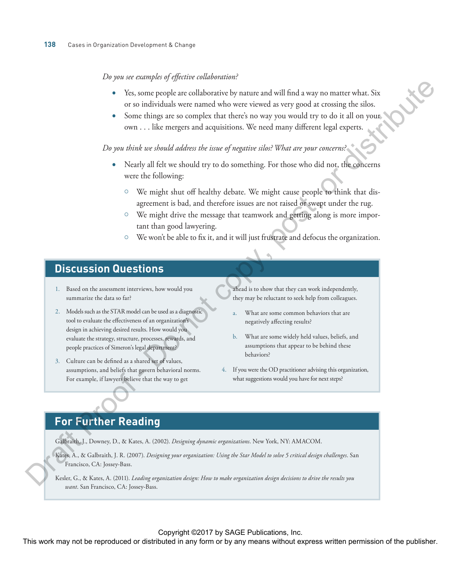#### *Do you see examples of effective collaboration?*

- Yes, some people are collaborative by nature and will find a way no matter what. Six or so individuals were named who were viewed as very good at crossing the silos.
- Some things are so complex that there's no way you would try to do it all on your own . . . like mergers and acquisitions. We need many different legal experts.

*Do you think we should address the issue of negative silos? What are your concerns?*

- Nearly all felt we should try to do something. For those who did not, the concerns were the following:
	- $\circ$  We might shut off healthy debate. We might cause people to think that disagreement is bad, and therefore issues are not raised or swept under the rug.
	- $\circ$  We might drive the message that teamwork and getting along is more important than good lawyering.
	- $\circ$  We won't be able to fix it, and it will just frustrate and defocus the organization.

## **Discussion Questions**

- 1. Based on the assessment interviews, how would you summarize the data so far?
- 2. Models such as the STAR model can be used as a diagnostic tool to evaluate the effectiveness of an organization's design in achieving desired results. How would you evaluate the strategy, structure, processes, rewards, and people practices of Simeron's legal department? PEL some prople are collaborative by muture and will find a way no matter what. Since the solicity and a consequence of the occurrence and  $\alpha$  and a consequence of the solicity of the solicity of the solicity of the soli
	- 3. Culture can be defined as a shared set of values, assumptions, and beliefs that govern behavioral norms. For example, if lawyers believe that the way to get

ahead is to show that they can work independently, they may be reluctant to seek help from colleagues.

- a. What are some common behaviors that are negatively affecting results?
- b. What are some widely held values, beliefs, and assumptions that appear to be behind these behaviors?
- 4. If you were the OD practitioner advising this organization, what suggestions would you have for next steps?

### **For Further Reading**

Galbraith, J., Downey, D., & Kates, A. (2002). *Designing dynamic organizations*. New York, NY: AMACOM.

Kates, A., & Galbraith, J. R. (2007). *Designing your organization: Using the Star Model to solve 5 critical design challenges*. San Francisco, CA: Jossey-Bass.

Kesler, G., & Kates, A. (2011). *Leading organization design: How to make organization design decisions to drive the results you want*. San Francisco, CA: Jossey-Bass.

Copyright ©2017 by SAGE Publications, Inc.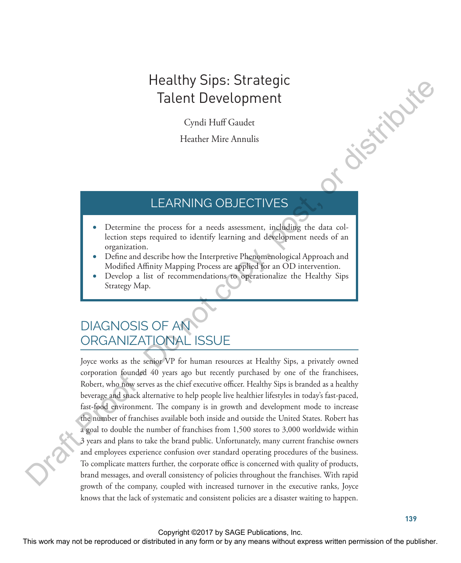# Healthy Sips: Strategic Talent Development

Cyndi Huff Gaudet

Heather Mire Annulis

## LEARNING OBJECTIVES

- Determine the process for a needs assessment, including the data collection steps required to identify learning and development needs of an organization.
- Define and describe how the Interpretive Phenomenological Approach and Modified Affinity Mapping Process are applied for an OD intervention.
- Develop a list of recommendations to operationalize the Healthy Sips Strategy Map.

# DIAGNOSIS OF AN ORGANIZATIONAL ISSUE

Joyce works as the senior VP for human resources at Healthy Sips, a privately owned corporation founded 40 years ago but recently purchased by one of the franchisees, Robert, who now serves as the chief executive officer. Healthy Sips is branded as a healthy beverage and snack alternative to help people live healthier lifestyles in today's fast-paced, fast-food environment. The company is in growth and development mode to increase the number of franchises available both inside and outside the United States. Robert has a goal to double the number of franchises from 1,500 stores to 3,000 worldwide within 3 years and plans to take the brand public. Unfortunately, many current franchise owners and employees experience confusion over standard operating procedures of the business. To complicate matters further, the corporate office is concerned with quality of products, brand messages, and overall consistency of policies throughout the franchises. With rapid growth of the company, coupled with increased turnover in the executive ranks, Joyce knows that the lack of systematic and consistent policies are a disaster waiting to happen. **Talent Development**<br>
Talent Development<br>
Cyndi Huff Gaudet<br>
Fleather Mire Annulis<br>
Cyndi Huff Gaudet<br>
Heather Mire Annulis<br>
LEARNING OBJECTIVES<br> **December de process for a recela suscessment, including the data columns**<br>

#### Copyright ©2017 by SAGE Publications, Inc.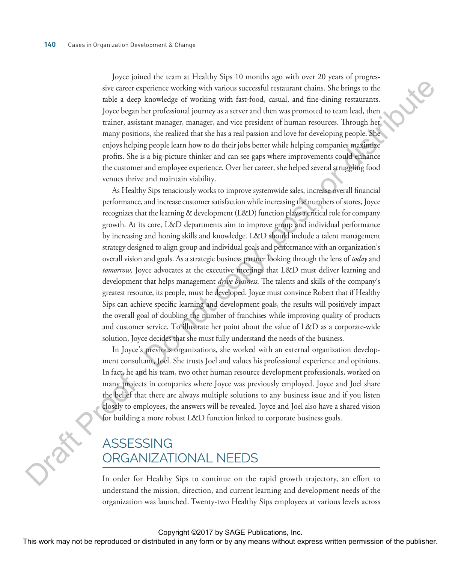Joyce joined the team at Healthy Sips 10 months ago with over 20 years of progressive career experience working with various successful restaurant chains. She brings to the table a deep knowledge of working with fast-food, casual, and fine-dining restaurants. Joyce began her professional journey as a server and then was promoted to team lead, then trainer, assistant manager, manager, and vice president of human resources. Through her many positions, she realized that she has a real passion and love for developing people. She enjoys helping people learn how to do their jobs better while helping companies maximize profits. She is a big-picture thinker and can see gaps where improvements could enhance the customer and employee experience. Over her career, she helped several struggling food venues thrive and maintain viability.

As Healthy Sips tenaciously works to improve systemwide sales, increase overall financial performance, and increase customer satisfaction while increasing the numbers of stores, Joyce recognizes that the learning & development (L&D) function plays a critical role for company growth. At its core, L&D departments aim to improve group and individual performance by increasing and honing skills and knowledge. L&D should include a talent management strategy designed to align group and individual goals and performance with an organization's overall vision and goals. As a strategic business partner looking through the lens of *today* and *tomorrow,* Joyce advocates at the executive meetings that L&D must deliver learning and development that helps management *drive business*. The talents and skills of the company's greatest resource, its people, must be developed. Joyce must convince Robert that if Healthy Sips can achieve specific learning and development goals, the results will positively impact the overall goal of doubling the number of franchises while improving quality of products and customer service. To illustrate her point about the value of L&D as a corporate-wide solution, Joyce decides that she must fully understand the needs of the business. sive carce expectations: working with various successful resummant chains. Site brings to due that a dottomar constraint profits are constraint and and and and the colling resumment. The main and and the complete system a

In Joyce's previous organizations, she worked with an external organization development consultant, Joel. She trusts Joel and values his professional experience and opinions. In fact, he and his team, two other human resource development professionals, worked on many projects in companies where Joyce was previously employed. Joyce and Joel share the belief that there are always multiple solutions to any business issue and if you listen closely to employees, the answers will be revealed. Joyce and Joel also have a shared vision for building a more robust L&D function linked to corporate business goals.

## ASSESSING ORGANIZATIONAL NEEDS

In order for Healthy Sips to continue on the rapid growth trajectory, an effort to understand the mission, direction, and current learning and development needs of the organization was launched. Twenty-two Healthy Sips employees at various levels across

#### Copyright ©2017 by SAGE Publications, Inc.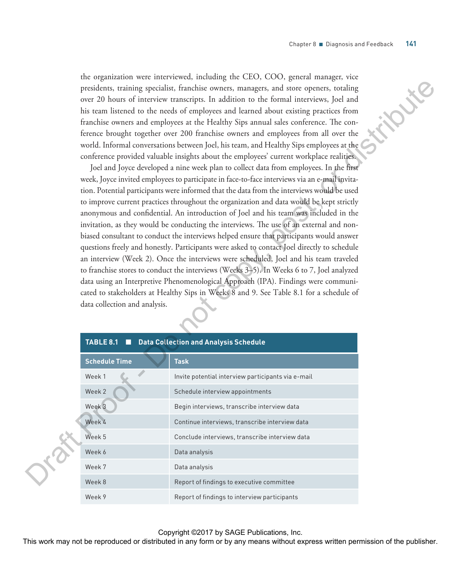the organization were interviewed, including the CEO, COO, general manager, vice presidents, training specialist, franchise owners, managers, and store openers, totaling over 20 hours of interview transcripts. In addition to the formal interviews, Joel and his team listened to the needs of employees and learned about existing practices from franchise owners and employees at the Healthy Sips annual sales conference. The conference brought together over 200 franchise owners and employees from all over the world. Informal conversations between Joel, his team, and Healthy Sips employees at the conference provided valuable insights about the employees' current workplace realities.

|  |                                                                                                                                                                                        | presidents, training specialist, franchise owners, managers, and store openers, totaling                                                                                          |  |  |
|--|----------------------------------------------------------------------------------------------------------------------------------------------------------------------------------------|-----------------------------------------------------------------------------------------------------------------------------------------------------------------------------------|--|--|
|  |                                                                                                                                                                                        | over 20 hours of interview transcripts. In addition to the formal interviews, Joel and                                                                                            |  |  |
|  |                                                                                                                                                                                        | his team listened to the needs of employees and learned about existing practices from                                                                                             |  |  |
|  |                                                                                                                                                                                        | franchise owners and employees at the Healthy Sips annual sales conference. The con-                                                                                              |  |  |
|  |                                                                                                                                                                                        | ference brought together over 200 franchise owners and employees from all over the                                                                                                |  |  |
|  |                                                                                                                                                                                        | world. Informal conversations between Joel, his team, and Healthy Sips employees at the                                                                                           |  |  |
|  |                                                                                                                                                                                        | conference provided valuable insights about the employees' current workplace realities.<br>Joel and Joyce developed a nine week plan to collect data from employees. In the first |  |  |
|  | week, Joyce invited employees to participate in face-to-face interviews via an e-mail invita-                                                                                          |                                                                                                                                                                                   |  |  |
|  |                                                                                                                                                                                        |                                                                                                                                                                                   |  |  |
|  | tion. Potential participants were informed that the data from the interviews would be used<br>to improve current practices throughout the organization and data would be kept strictly |                                                                                                                                                                                   |  |  |
|  | anonymous and confidential. An introduction of Joel and his team was included in the                                                                                                   |                                                                                                                                                                                   |  |  |
|  | invitation, as they would be conducting the interviews. The use of an external and non-                                                                                                |                                                                                                                                                                                   |  |  |
|  | biased consultant to conduct the interviews helped ensure that participants would answer                                                                                               |                                                                                                                                                                                   |  |  |
|  | questions freely and honestly. Participants were asked to contact Joel directly to schedule                                                                                            |                                                                                                                                                                                   |  |  |
|  | an interview (Week 2). Once the interviews were scheduled, Joel and his team traveled                                                                                                  |                                                                                                                                                                                   |  |  |
|  | to franchise stores to conduct the interviews (Weeks 3-5). In Weeks 6 to 7, Joel analyzed                                                                                              |                                                                                                                                                                                   |  |  |
|  | data using an Interpretive Phenomenological Approach (IPA). Findings were communi-                                                                                                     |                                                                                                                                                                                   |  |  |
|  | cated to stakeholders at Healthy Sips in Weeks 8 and 9. See Table 8.1 for a schedule of                                                                                                |                                                                                                                                                                                   |  |  |
|  | data collection and analysis.                                                                                                                                                          |                                                                                                                                                                                   |  |  |
|  |                                                                                                                                                                                        |                                                                                                                                                                                   |  |  |
|  |                                                                                                                                                                                        |                                                                                                                                                                                   |  |  |
|  | TABLE 8.1 <b>No. 2 September 2018</b> Data Collection and Analysis Schedule                                                                                                            |                                                                                                                                                                                   |  |  |
|  | <b>Schedule Time</b>                                                                                                                                                                   | <b>Task</b>                                                                                                                                                                       |  |  |
|  | Week 1                                                                                                                                                                                 | Invite potential interview participants via e-mail                                                                                                                                |  |  |
|  | Week 2                                                                                                                                                                                 | Schedule interview appointments                                                                                                                                                   |  |  |
|  | Week 3                                                                                                                                                                                 | Begin interviews, transcribe interview data                                                                                                                                       |  |  |
|  | Week 4                                                                                                                                                                                 | Continue interviews, transcribe interview data                                                                                                                                    |  |  |
|  | Week 5                                                                                                                                                                                 | Conclude interviews, transcribe interview data                                                                                                                                    |  |  |
|  | Week 6                                                                                                                                                                                 | Data analysis                                                                                                                                                                     |  |  |
|  | Week 7                                                                                                                                                                                 | Data analysis                                                                                                                                                                     |  |  |
|  | Week 8                                                                                                                                                                                 | Report of findings to executive committee                                                                                                                                         |  |  |
|  | Week 9                                                                                                                                                                                 | Report of findings to interview participants                                                                                                                                      |  |  |

Copyright ©2017 by SAGE Publications, Inc.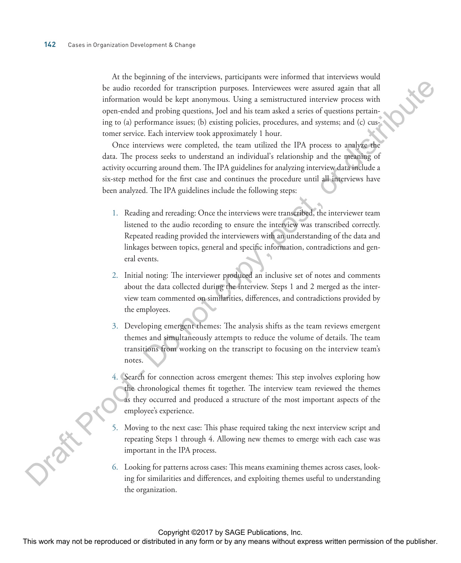At the beginning of the interviews, participants were informed that interviews would be audio recorded for transcription purposes. Interviewees were assured again that all information would be kept anonymous. Using a semistructured interview process with open-ended and probing questions, Joel and his team asked a series of questions pertaining to (a) performance issues; (b) existing policies, procedures, and systems; and (c) customer service. Each interview took approximately 1 hour. be and/o recorded for transcipions parposes. Inactivistics were assured again that all<br>information would be laxy measured in distribute particularizations posterior procedures<br>in provided in the sign and information and i

Once interviews were completed, the team utilized the IPA process to analyze the data. The process seeks to understand an individual's relationship and the meaning of activity occurring around them. The IPA guidelines for analyzing interview data include a six-step method for the first case and continues the procedure until all interviews have been analyzed. The IPA guidelines include the following steps:

- 1. Reading and rereading: Once the interviews were transcribed, the interviewer team listened to the audio recording to ensure the interview was transcribed correctly. Repeated reading provided the interviewers with an understanding of the data and linkages between topics, general and specific information, contradictions and general events.
- 2. Initial noting: The interviewer produced an inclusive set of notes and comments about the data collected during the interview. Steps 1 and 2 merged as the interview team commented on similarities, differences, and contradictions provided by the employees.
- 3. Developing emergent themes: The analysis shifts as the team reviews emergent themes and simultaneously attempts to reduce the volume of details. The team transitions from working on the transcript to focusing on the interview team's notes.
- 4. Search for connection across emergent themes: This step involves exploring how the chronological themes fit together. The interview team reviewed the themes as they occurred and produced a structure of the most important aspects of the employee's experience.
- 5. Moving to the next case: This phase required taking the next interview script and repeating Steps 1 through 4. Allowing new themes to emerge with each case was important in the IPA process.
- 6. Looking for patterns across cases: This means examining themes across cases, looking for similarities and differences, and exploiting themes useful to understanding the organization.

Copyright ©2017 by SAGE Publications, Inc.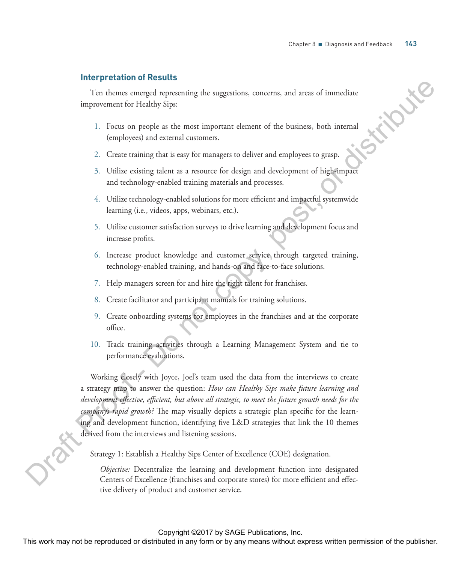#### **Interpretation of Results**

Ten themes emerged representing the suggestions, concerns, and areas of immediate improvement for Healthy Sips:

- 1. Focus on people as the most important element of the business, both internal (employees) and external customers.
- 2. Create training that is easy for managers to deliver and employees to grasp.
- 3. Utilize existing talent as a resource for design and development of high-impact and technology-enabled training materials and processes.
- 4. Utilize technology-enabled solutions for more efficient and impactful systemwide learning (i.e., videos, apps, webinars, etc.).
- 5. Utilize customer satisfaction surveys to drive learning and development focus and increase profits.
- 6. Increase product knowledge and customer service through targeted training, technology-enabled training, and hands-on and face-to-face solutions.
- 7. Help managers screen for and hire the right talent for franchises.
- 8. Create facilitator and participant manuals for training solutions.
- 9. Create onboarding systems for employees in the franchises and at the corporate office.
- 10. Track training activities through a Learning Management System and tie to performance evaluations.

Working closely with Joyce, Joel's team used the data from the interviews to create a strategy map to answer the question: *How can Healthy Sips make future learning and development effective, efficient, but above all strategic, to meet the future growth needs for the company's rapid growth?* The map visually depicts a strategic plan specific for the learning and development function, identifying five L&D strategies that link the 10 themes derived from the interviews and listening sessions. Centers of Excellence (fraction and corporate stores) for the basic stores) for the stores and corporate the Healthy Sipe in the more propies and corporate stores) for a stores and excellence stores, both internal (employ

Strategy 1: Establish a Healthy Sips Center of Excellence (COE) designation.

*Objective:* Decentralize the learning and development function into designated tive delivery of product and customer service.

Copyright ©2017 by SAGE Publications, Inc.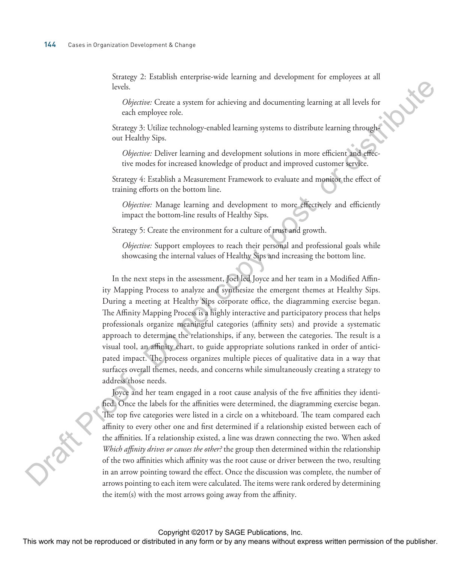Strategy 2: Establish enterprise-wide learning and development for employees at all levels.

*Objective:* Create a system for achieving and documenting learning at all levels for each employee role.

Strategy 3: Utilize technology-enabled learning systems to distribute learning throughout Healthy Sips.

*Objective:* Deliver learning and development solutions in more efficient and effective modes for increased knowledge of product and improved customer service.

Strategy 4: Establish a Measurement Framework to evaluate and monitor the effect of training efforts on the bottom line.

*Objective:* Manage learning and development to more effectively and efficiently impact the bottom-line results of Healthy Sips.

Strategy 5: Create the environment for a culture of trust and growth.

*Objective:* Support employees to reach their personal and professional goals while showcasing the internal values of Healthy Sips and increasing the bottom line.

In the next steps in the assessment, Joel led Joyce and her team in a Modified Affinity Mapping Process to analyze and synthesize the emergent themes at Healthy Sips. During a meeting at Healthy Sips corporate office, the diagramming exercise began. The Affinity Mapping Process is a highly interactive and participatory process that helps professionals organize meaningful categories (affinity sets) and provide a systematic approach to determine the relationships, if any, between the categories. The result is a visual tool, an affinity chart, to guide appropriate solutions ranked in order of anticipated impact. The process organizes multiple pieces of qualitative data in a way that surfaces overall themes, needs, and concerns while simultaneously creating a strategy to address those needs. beso,<br>
Olytentec Create a system for achieving and documenting learning at all levels for<br>
Olytentec Create a system for achieving and documenting learning at all levels for<br>
Sinary 3: Littlic stins, out consider the syst

Joyce and her team engaged in a root cause analysis of the five affinities they identified. Once the labels for the affinities were determined, the diagramming exercise began. The top five categories were listed in a circle on a whiteboard. The team compared each affinity to every other one and first determined if a relationship existed between each of the affinities. If a relationship existed, a line was drawn connecting the two. When asked *Which affinity drives or causes the other?* the group then determined within the relationship of the two affinities which affinity was the root cause or driver between the two, resulting in an arrow pointing toward the effect. Once the discussion was complete, the number of arrows pointing to each item were calculated. The items were rank ordered by determining the item(s) with the most arrows going away from the affinity.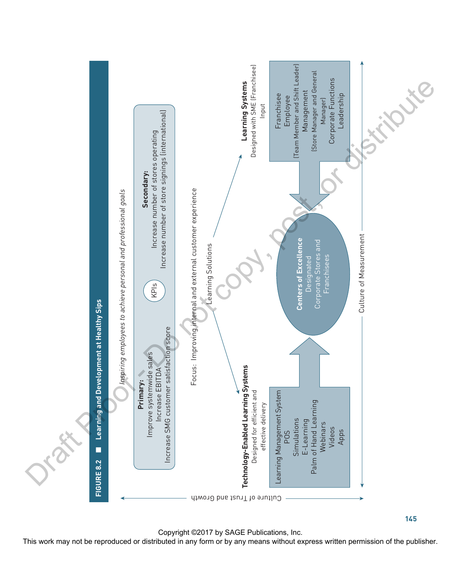

Copyright ©2017 by SAGE Publications, Inc.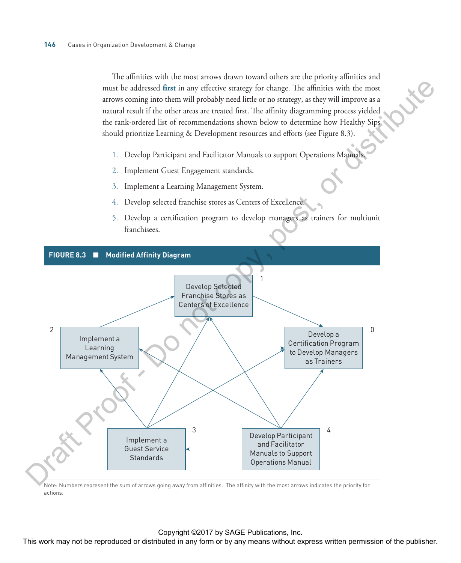The affinities with the most arrows drawn toward others are the priority affinities and must be addressed **first** in any effective strategy for change. The affinities with the most arrows coming into them will probably need little or no strategy, as they will improve as a natural result if the other areas are treated first. The affinity diagramming process yielded the rank-ordered list of recommendations shown below to determine how Healthy Sips should prioritize Learning & Development resources and efforts (see Figure 8.3).

- 1. Develop Participant and Facilitator Manuals to support Operations Manuals.
- 2. Implement Guest Engagement standards.
- 3. Implement a Learning Management System.
- 4. Develop selected franchise stores as Centers of Excellence.
- 5. Develop a certification program to develop managers as trainers for multiunit franchisees.



Note: Numbers represent the sum of arrows going away from affinities. The affinity with the most arrows indicates the priority for actions.

#### Copyright ©2017 by SAGE Publications, Inc.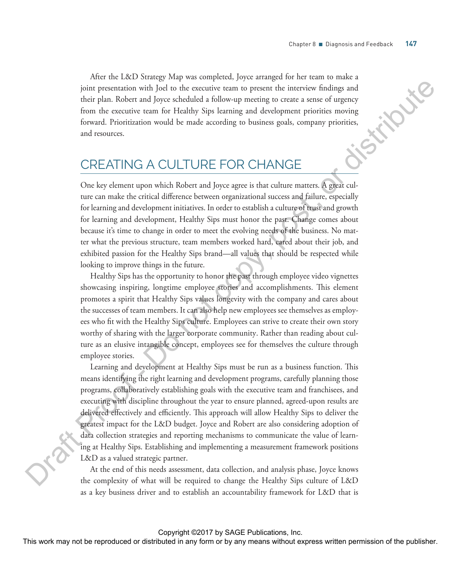After the L&D Strategy Map was completed, Joyce arranged for her team to make a joint presentation with Joel to the executive team to present the interview findings and their plan. Robert and Joyce scheduled a follow-up meeting to create a sense of urgency from the executive team for Healthy Sips learning and development priorities moving forward. Prioritization would be made according to business goals, company priorities, and resources.

# CREATING A CULTURE FOR CHANGE

One key element upon which Robert and Joyce agree is that culture matters. A great culture can make the critical difference between organizational success and failure, especially for learning and development initiatives. In order to establish a culture of trust and growth for learning and development, Healthy Sips must honor the past. Change comes about because it's time to change in order to meet the evolving needs of the business. No matter what the previous structure, team members worked hard, cared about their job, and exhibited passion for the Healthy Sips brand—all values that should be respected while looking to improve things in the future.

Healthy Sips has the opportunity to honor the past through employee video vignettes showcasing inspiring, longtime employee stories and accomplishments. This element promotes a spirit that Healthy Sips values longevity with the company and cares about the successes of team members. It can also help new employees see themselves as employees who fit with the Healthy Sips culture. Employees can strive to create their own story worthy of sharing with the larger corporate community. Rather than reading about culture as an elusive intangible concept, employees see for themselves the culture through employee stories.

Learning and development at Healthy Sips must be run as a business function. This means identifying the right learning and development programs, carefully planning those programs, collaboratively establishing goals with the executive team and franchisees, and executing with discipline throughout the year to ensure planned, agreed-upon results are delivered effectively and efficiently. This approach will allow Healthy Sips to deliver the greatest impact for the L&D budget. Joyce and Robert are also considering adoption of data collection strategies and reporting mechanisms to communicate the value of learning at Healthy Sips. Establishing and implementing a measurement framework positions L&D as a valued strategic partner. joint presentation with Joel or discussion game in present the interview findings and<br>the plane Robert and Joec colocated a follow-game than distribute the contrast or distribute<br>from the executive site in the litrarily S

At the end of this needs assessment, data collection, and analysis phase, Joyce knows the complexity of what will be required to change the Healthy Sips culture of L&D as a key business driver and to establish an accountability framework for L&D that is

Copyright ©2017 by SAGE Publications, Inc.